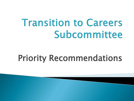# Transition to Careers Subcommittee

## Priority Recommendations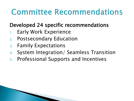### Committee Recommendations

#### Developed 24 specific recommendations

- 1. Early Work Experience
- 2. Postsecondary Education
- 3. Family Expectations
- 4. System Integration/ Seamless Transition
- 5. Professional Supports and Incentives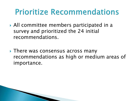#### Prioritize Recommendations

- All committee members participated in a survey and prioritized the 24 initial recommendations.
- ▶ There was consensus across many recommendations as high or medium areas of importance.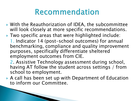- ▶ With the Reauthorization of IDEA, the subcommittee will look closely at more specific recommendations.
- ▶ Two specific areas that were highlighted include:
	- 1. Indicator 14 (post-school outcomes) for annual benchmarking, compliance and quality improvement purposes, specifically differentiate sheltered employment outcomes from CIE.
	- 2. Assistive Technology assessment during school, having AT follow the student across settings / from school to employment.
- A call has been set up with Department of Education to inform our Committee.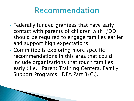- Federally funded grantees that have early contact with parents of children with I/DD should be required to engage families earlier and support high expectations.
- Committee is exploring more specific recommendations in this area that could include organizations that touch families early ( i.e., Parent Training Centers, Family Support Programs, IDEA Part B/C.).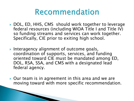- ▶ DOL, ED, HHS, CMS should work together to leverage federal resources (including WIOA Title I and Title IV) so funding streams and services can work together. Specifically, CIE prior to exiting high school.
- **Interagency alignment of outcome goals,** coordination of supports, services, and funding oriented toward CIE must be mandated among ED, DOL, RSA, SSA, and CMS with a designated lead federal agency.
- ▶ Our team is in agreement in this area and we are moving toward with more specific recommendation.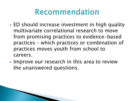- **► ED should increase investment in high quality** multivariate correlational research to move from promising practices to evidence-based practices – which practices or combination of practices moves youth from school to careers.
- Improve our research in this area to review the unanswered questions.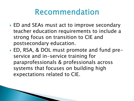- ▶ ED and SEAs must act to improve secondary teacher education requirements to include a strong focus on transition to CIE and postsecondary education.
- ▶ ED, RSA, & DOL must promote and fund preservice and in-service training for paraprofessionals & professionals across systems that focuses on building high expectations related to CIE.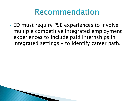▶ ED must require PSE experiences to involve multiple competitive integrated employment experiences to include paid internships in integrated settings – to identify career path.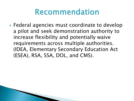▶ Federal agencies must coordinate to develop a pilot and seek demonstration authority to increase flexibility and potentially waive requirements across multiple authorities. (IDEA, Elementary Secondary Education Act (ESEA), RSA, SSA, DOL, and CMS).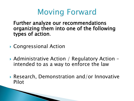### Moving Forward

Further analyze our recommendations organizing them into one of the following types of action.

- ▶ Congressional Action
- ▶ Administrative Action / Regulatory Action intended to as a way to enforce the law
- Research, Demonstration and/or Innovative Pilot